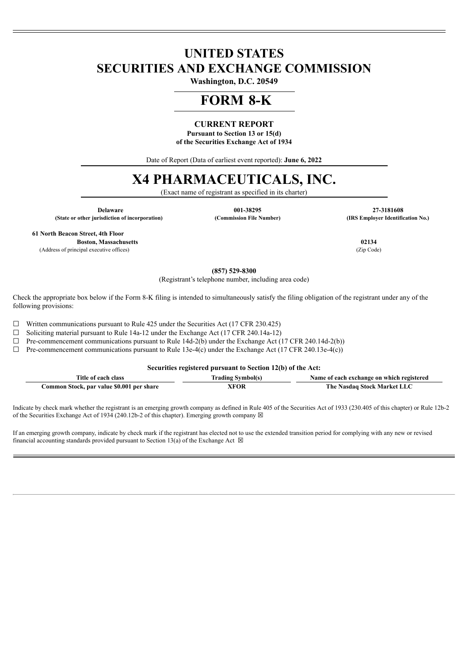# **UNITED STATES SECURITIES AND EXCHANGE COMMISSION**

**Washington, D.C. 20549**

# **FORM 8-K**

## **CURRENT REPORT**

**Pursuant to Section 13 or 15(d) of the Securities Exchange Act of 1934**

Date of Report (Data of earliest event reported): **June 6, 2022**

# **X4 PHARMACEUTICALS, INC.**

(Exact name of registrant as specified in its charter)

**(State or other jurisdiction of incorporation) (Commission File Number) (IRS Employer Identification No.)**

**Delaware 001-38295 27-3181608**

**61 North Beacon Street, 4th Floor**

**Boston, Massachusetts 02134** (Address of principal executive offices) (Zip Code)

**(857) 529-8300**

(Registrant's telephone number, including area code)

Check the appropriate box below if the Form 8-K filing is intended to simultaneously satisfy the filing obligation of the registrant under any of the following provisions:

 $\Box$  Written communications pursuant to Rule 425 under the Securities Act (17 CFR 230.425)

☐ Soliciting material pursuant to Rule 14a-12 under the Exchange Act (17 CFR 240.14a-12)

 $\Box$  Pre-commencement communications pursuant to Rule 14d-2(b) under the Exchange Act (17 CFR 240.14d-2(b))

 $\Box$  Pre-commencement communications pursuant to Rule 13e-4(c) under the Exchange Act (17 CFR 240.13e-4(c))

**Securities registered pursuant to Section 12(b) of the Act:**

| Title of each class                       | Trading Symbol(s) | Name of each exchange on which registered |
|-------------------------------------------|-------------------|-------------------------------------------|
| Common Stock, par value \$0.001 per share | XFOR              | The Nasdaq Stock Market LLC               |

Indicate by check mark whether the registrant is an emerging growth company as defined in Rule 405 of the Securities Act of 1933 (230.405 of this chapter) or Rule 12b-2 of the Securities Exchange Act of 1934 (240.12b-2 of this chapter). Emerging growth company  $\boxtimes$ 

If an emerging growth company, indicate by check mark if the registrant has elected not to use the extended transition period for complying with any new or revised financial accounting standards provided pursuant to Section 13(a) of the Exchange Act  $\boxtimes$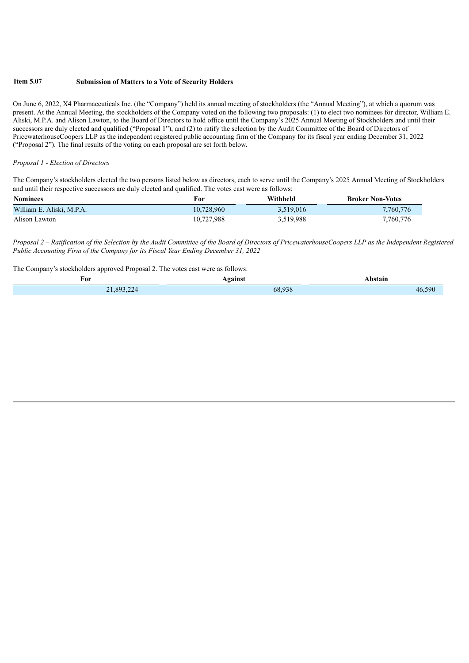#### **Item 5.07 Submission of Matters to a Vote of Security Holders**

On June 6, 2022, X4 Pharmaceuticals Inc. (the "Company") held its annual meeting of stockholders (the "Annual Meeting"), at which a quorum was present. At the Annual Meeting, the stockholders of the Company voted on the following two proposals: (1) to elect two nominees for director, William E. Aliski, M.P.A. and Alison Lawton, to the Board of Directors to hold office until the Company's 2025 Annual Meeting of Stockholders and until their successors are duly elected and qualified ("Proposal 1"), and (2) to ratify the selection by the Audit Committee of the Board of Directors of PricewaterhouseCoopers LLP as the independent registered public accounting firm of the Company for its fiscal year ending December 31, 2022 ("Proposal 2"). The final results of the voting on each proposal are set forth below.

#### *Proposal 1 - Election of Directors*

The Company's stockholders elected the two persons listed below as directors, each to serve until the Company's 2025 Annual Meeting of Stockholders and until their respective successors are duly elected and qualified. The votes cast were as follows:

| <b>Nominees</b>           | For        | Withheld  | <b>Broker Non-Votes</b> |
|---------------------------|------------|-----------|-------------------------|
| William E. Aliski, M.P.A. | 10.728.960 | 3.519.016 | 7,760,776               |
| Alison Lawton             | 10.727.988 | 3,519,988 | 7,760,776               |

Proposal 2 – Ratification of the Selection by the Audit Committee of the Board of Directors of PricewaterhouseCoopers LLP as the Independent Registered *Public Accounting Firm of the Company for its Fiscal Year Ending December 31, 2022*

The Company's stockholders approved Proposal 2. The votes cast were as follows:

| For                           | Against | <b>\bstain</b> |
|-------------------------------|---------|----------------|
| 893224<br>$\mathbf{r}$<br>- - | 68.938  | 590<br>46.     |